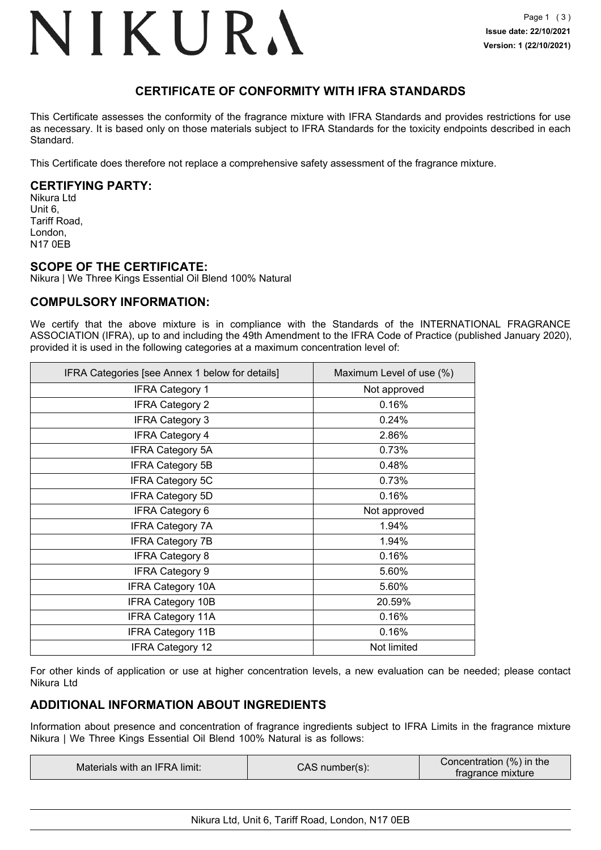## NIKURA

## **CERTIFICATE OF CONFORMITY WITH IFRA STANDARDS**

This Certificate assesses the conformity of the fragrance mixture with IFRA Standards and provides restrictions for use as necessary. It is based only on those materials subject to IFRA Standards for the toxicity endpoints described in each Standard.

This Certificate does therefore not replace a comprehensive safety assessment of the fragrance mixture.

## **CERTIFYING PARTY:**

Nikura Ltd Unit 6, Tariff Road, London, N17 0EB

### **SCOPE OF THE CERTIFICATE:**

Nikura | We Three Kings Essential Oil Blend 100% Natural

## **COMPULSORY INFORMATION:**

We certify that the above mixture is in compliance with the Standards of the INTERNATIONAL FRAGRANCE ASSOCIATION (IFRA), up to and including the 49th Amendment to the IFRA Code of Practice (published January 2020), provided it is used in the following categories at a maximum concentration level of:

| IFRA Categories [see Annex 1 below for details] | Maximum Level of use (%) |
|-------------------------------------------------|--------------------------|
| <b>IFRA Category 1</b>                          | Not approved             |
| <b>IFRA Category 2</b>                          | 0.16%                    |
| <b>IFRA Category 3</b>                          | 0.24%                    |
| <b>IFRA Category 4</b>                          | 2.86%                    |
| <b>IFRA Category 5A</b>                         | 0.73%                    |
| <b>IFRA Category 5B</b>                         | 0.48%                    |
| <b>IFRA Category 5C</b>                         | 0.73%                    |
| <b>IFRA Category 5D</b>                         | 0.16%                    |
| <b>IFRA Category 6</b>                          | Not approved             |
| <b>IFRA Category 7A</b>                         | 1.94%                    |
| <b>IFRA Category 7B</b>                         | 1.94%                    |
| <b>IFRA Category 8</b>                          | 0.16%                    |
| <b>IFRA Category 9</b>                          | 5.60%                    |
| <b>IFRA Category 10A</b>                        | 5.60%                    |
| <b>IFRA Category 10B</b>                        | 20.59%                   |
| <b>IFRA Category 11A</b>                        | 0.16%                    |
| <b>IFRA Category 11B</b>                        | 0.16%                    |
| IFRA Category 12                                | Not limited              |

For other kinds of application or use at higher concentration levels, a new evaluation can be needed; please contact Nikura Ltd

## **ADDITIONAL INFORMATION ABOUT INGREDIENTS**

Information about presence and concentration of fragrance ingredients subject to IFRA Limits in the fragrance mixture Nikura | We Three Kings Essential Oil Blend 100% Natural is as follows:

| Materials with an IFRA limit: | CAS<br>number(s): | Concentration (%) in the<br>tragrance mixture |
|-------------------------------|-------------------|-----------------------------------------------|
|-------------------------------|-------------------|-----------------------------------------------|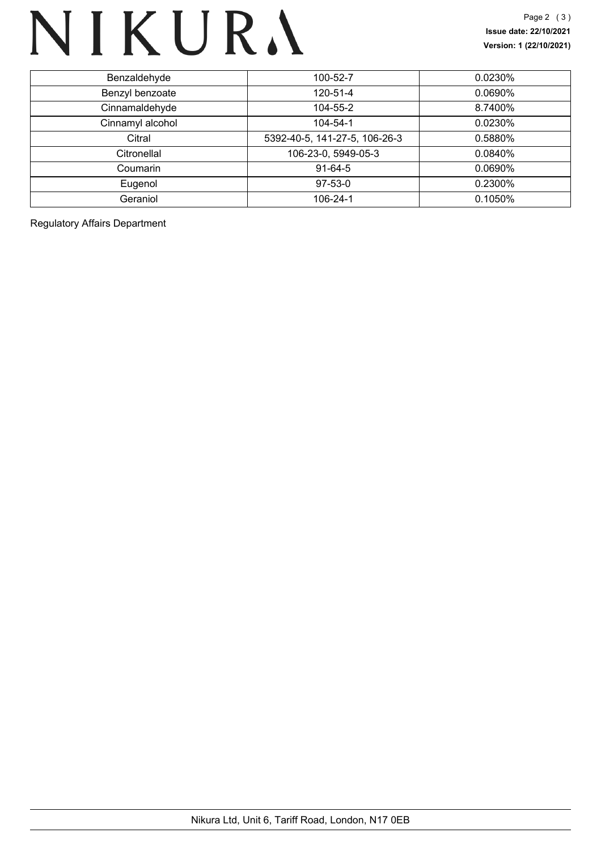# NIKURA

| Benzaldehyde     | 100-52-7                      | 0.0230%    |
|------------------|-------------------------------|------------|
| Benzyl benzoate  | 120-51-4                      | 0.0690%    |
| Cinnamaldehyde   | 104-55-2                      | 8.7400%    |
| Cinnamyl alcohol | 104-54-1                      | $0.0230\%$ |
| Citral           | 5392-40-5, 141-27-5, 106-26-3 | 0.5880%    |
| Citronellal      | 106-23-0, 5949-05-3           | $0.0840\%$ |
| Coumarin         | $91-64-5$                     | $0.0690\%$ |
| Eugenol          | $97-53-0$                     | 0.2300%    |
| Geraniol         | 106-24-1                      | 0.1050%    |
|                  |                               |            |

Regulatory Affairs Department